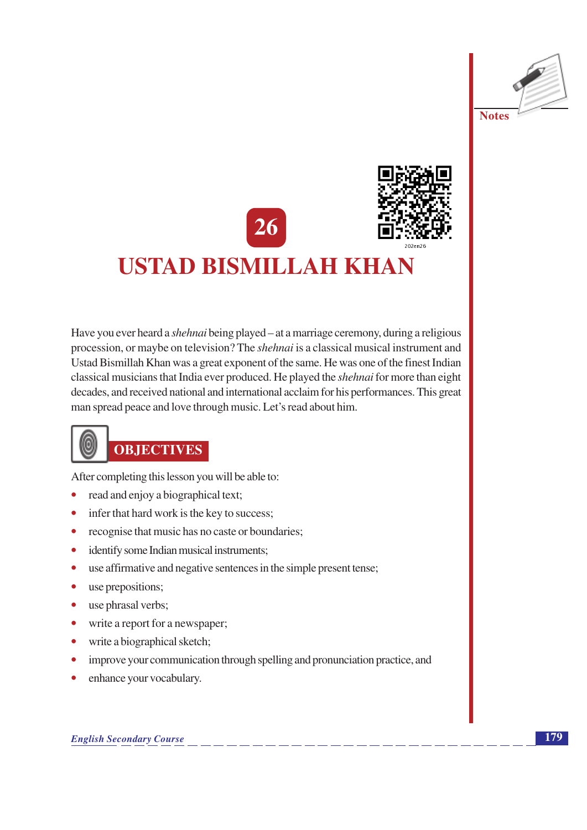



## **USTAD BISMILLAH KHAN**

Have you ever heard a *shehnai* being played – at a marriage ceremony, during a religious procession, or maybe on television? The *shehnai* is a classical musical instrument and Ustad Bismillah Khan was a great exponent of the same. He was one of the finest Indian classical musicians that India ever produced. He played the shehnai for more than eight decades, and received national and international acclaim for his performances. This great man spread peace and love through music. Let's read about him.



After completing this lesson you will be able to:

- $\bullet$ read and enjoy a biographical text;
- infer that hard work is the key to success;  $\bullet$
- recognise that music has no caste or boundaries;  $\bullet$
- identify some Indian musical instruments;  $\bullet$
- use affirmative and negative sentences in the simple present tense;  $\bullet$
- use prepositions;  $\bullet$
- use phrasal verbs;  $\bullet$
- write a report for a newspaper;  $\bullet$
- write a biographical sketch;  $\bullet$
- improve your communication through spelling and pronunciation practice, and  $\bullet$
- enhance your vocabulary.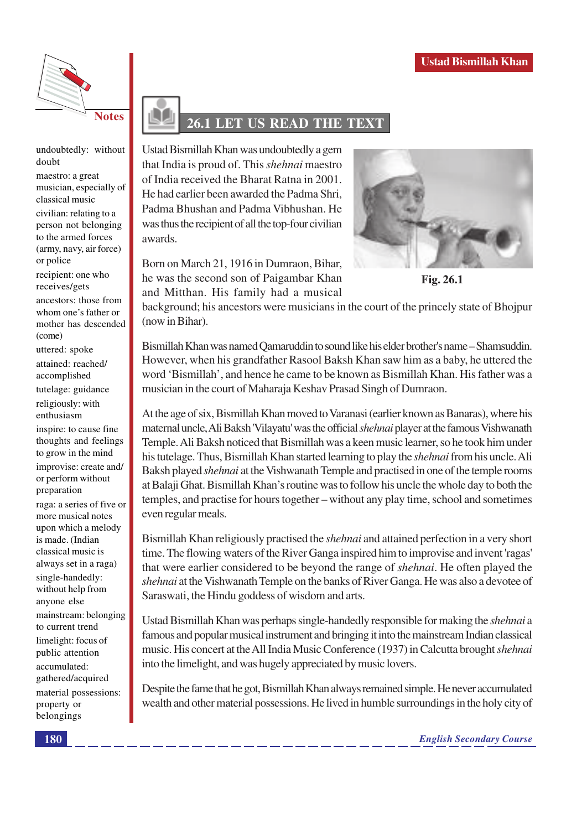

undoubtedly: without doubt

maestro: a great musician, especially of classical music civilian: relating to a person not belonging to the armed forces (army, navy, air force) or police recipient: one who receives/gets ancestors: those from whom one's father or

mother has descended (come)

uttered: spoke attained: reached/ accomplished tutelage: guidance religiously: with enthusiasm

inspire: to cause fine thoughts and feelings to grow in the mind improvise: create and/ or perform without preparation

raga: a series of five or more musical notes upon which a melody is made. (Indian classical music is always set in a raga) single-handedly: without help from anyone else mainstream: belonging to current trend limelight: focus of public attention accumulated: gathered/acquired material possessions: property or belongings

## 26.1 LET US READ THE TEXT

Ustad Bismillah Khan was undoubtedly a gem that India is proud of. This shehnai maestro of India received the Bharat Ratna in 2001. He had earlier been awarded the Padma Shri. Padma Bhushan and Padma Vibhushan. He was thus the recipient of all the top-four civilian awards.

Born on March 21, 1916 in Dumraon, Bihar, he was the second son of Paigambar Khan and Mitthan. His family had a musical



Fig. 26.1

background; his ancestors were musicians in the court of the princely state of Bhojpur (now in Bihar).

Bismillah Khan was named Oamaruddin to sound like his elder brother's name – Shamsuddin. However, when his grandfather Rasool Baksh Khan saw him as a baby, he uttered the word 'Bismillah', and hence he came to be known as Bismillah Khan. His father was a musician in the court of Maharaja Keshav Prasad Singh of Dumraon.

At the age of six, Bismillah Khan moved to Varanasi (earlier known as Banaras), where his maternal uncle, Ali Baksh 'Vilayatu' was the official *shehnai* player at the famous Vishwanath Temple. Ali Baksh noticed that Bismillah was a keen music learner, so he took him under his tutelage. Thus, Bismillah Khan started learning to play the *shehnai* from his uncle. Ali Baksh played *shehnai* at the Vishwanath Temple and practised in one of the temple rooms at Balaji Ghat. Bismillah Khan's routine was to follow his uncle the whole day to both the temples, and practise for hours together – without any play time, school and sometimes even regular meals.

Bismillah Khan religiously practised the *shehnai* and attained perfection in a very short time. The flowing waters of the River Ganga inspired him to improvise and invent 'ragas' that were earlier considered to be beyond the range of *shehnai*. He often played the shehnai at the Vishwanath Temple on the banks of River Ganga. He was also a devotee of Saraswati, the Hindu goddess of wisdom and arts.

Ustad Bismillah Khan was perhaps single-handedly responsible for making the *shehnai* a famous and popular musical instrument and bringing it into the mainstream Indian classical music. His concert at the All India Music Conference (1937) in Calcutta brought *shehnai* into the limelight, and was hugely appreciated by music lovers.

Despite the fame that he got, Bismillah Khan always remained simple. He never accumulated wealth and other material possessions. He lived in humble surroundings in the holy city of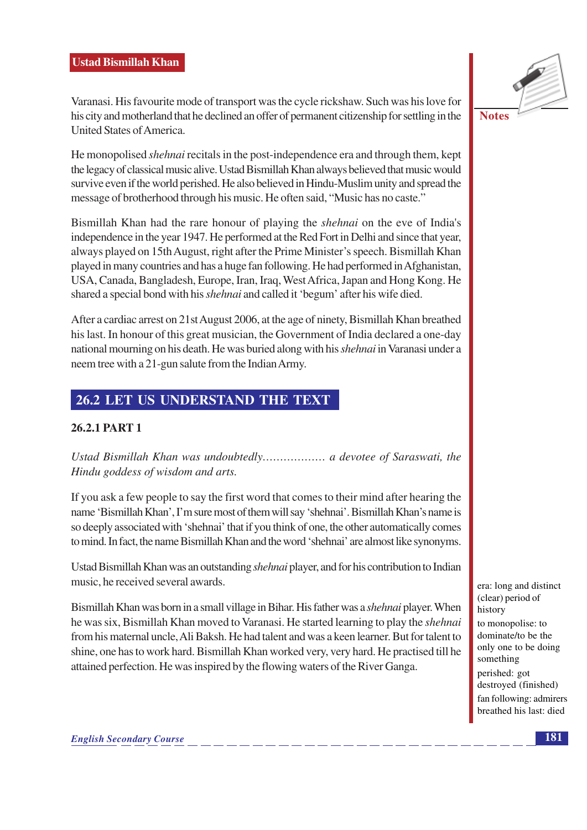Varanasi. His favourite mode of transport was the cycle rickshaw. Such was his love for his city and motherland that he declined an offer of permanent citizenship for settling in the United States of America.

He monopolised *shehnai* recitals in the post-independence era and through them, kept the legacy of classical music alive. Ustad Bismillah Khan always believed that music would survive even if the world perished. He also believed in Hindu-Muslim unity and spread the message of brotherhood through his music. He often said, "Music has no caste."

Bismillah Khan had the rare honour of playing the *shehnai* on the eve of India's independence in the year 1947. He performed at the Red Fort in Delhi and since that year, always played on 15th August, right after the Prime Minister's speech. Bismillah Khan played in many countries and has a huge fan following. He had performed in Afghanistan, USA, Canada, Bangladesh, Europe, Iran, Iraq, West Africa, Japan and Hong Kong. He shared a special bond with his *shehnai* and called it 'begum' after his wife died.

After a cardiac arrest on 21st August 2006, at the age of ninety, Bismillah Khan breathed his last. In honour of this great musician, the Government of India declared a one-day national mourning on his death. He was buried along with his *shehnai* in Varanasi under a neem tree with a 21-gun salute from the Indian Army.

### 26.2 LET US UNDERSTAND THE TEXT

### 26.2.1 PART 1

Ustad Bismillah Khan was undoubtedly.................... a devotee of Saraswati, the Hindu goddess of wisdom and arts.

If you ask a few people to say the first word that comes to their mind after hearing the name 'Bismillah Khan', I'm sure most of them will say 'shehnai'. Bismillah Khan's name is so deeply associated with 'shehnai' that if you think of one, the other automatically comes to mind. In fact, the name Bismillah Khan and the word 'shehnai' are almost like synonyms.

Ustad Bismillah Khan was an outstanding *shehnai* player, and for his contribution to Indian music, he received several awards.

Bismillah Khan was born in a small village in Bihar. His father was a *shehnai* player. When he was six, Bismillah Khan moved to Varanasi. He started learning to play the *shehnai* from his maternal uncle, Ali Baksh. He had talent and was a keen learner. But for talent to shine, one has to work hard. Bismillah Khan worked very, very hard. He practised till he attained perfection. He was inspired by the flowing waters of the River Ganga.

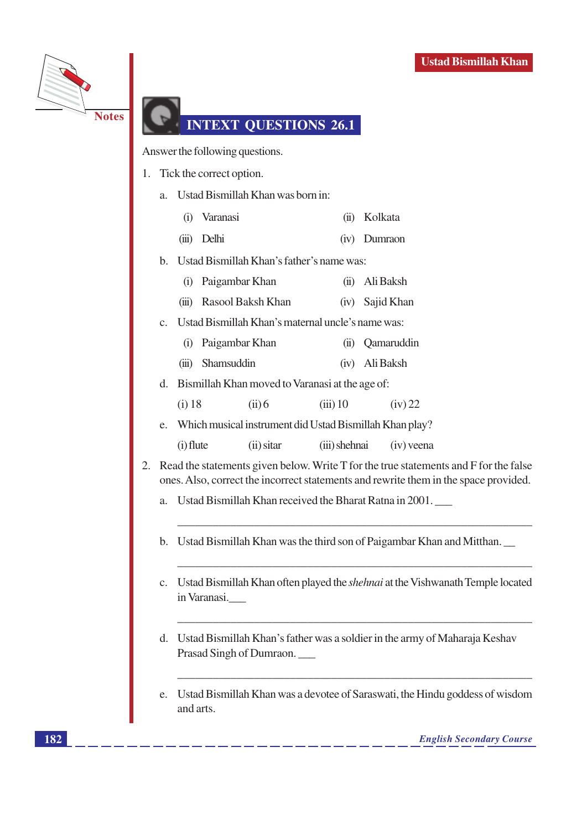

### **INTEXT OUESTIONS 26.1**

Answer the following questions.

- 1. Tick the correct option.
	- a. Ustad Bismillah Khan was born in:
		- (i) Varanasi (ii) Kolkata
		- (iii) Delhi (iv) Dumraon
	- b. Ustad Bismillah Khan's father's name was:
		- (i) Paigambar Khan (ii) Ali Baksh
		- (iii) Rasool Baksh Khan (iv) Sajid Khan
	- c. Ustad Bismillah Khan's maternal uncle's name was:
		- (i) Paigambar Khan (ii) Oamaruddin
		- (iii) Shamsuddin (iv) Ali Baksh
	- d. Bismillah Khan moved to Varanasi at the age of:
		- $(i)$  18  $(ii)6$  $(iii)$  10  $(iv)$  22
	- e. Which musical instrument did Ustad Bismillah Khan play?
		- $(i)$  flute  $(ii)$  sitar (iii) shehnai  $(iv)$  veena
- 2. Read the statements given below. Write T for the true statements and F for the false ones. Also, correct the incorrect statements and rewrite them in the space provided.
	- Ustad Bismillah Khan received the Bharat Ratna in 2001. a.
	- b. Ustad Bismillah Khan was the third son of Paigambar Khan and Mitthan.
	- c. Ustad Bismillah Khan often played the *shehnai* at the Vishwanath Temple located in Varanasi.
	- d. Ustad Bismillah Khan's father was a soldier in the army of Maharaja Keshav Prasad Singh of Dumraon.
	- $e_{i}$ Ustad Bismillah Khan was a devotee of Saraswati, the Hindu goddess of wisdom and arts.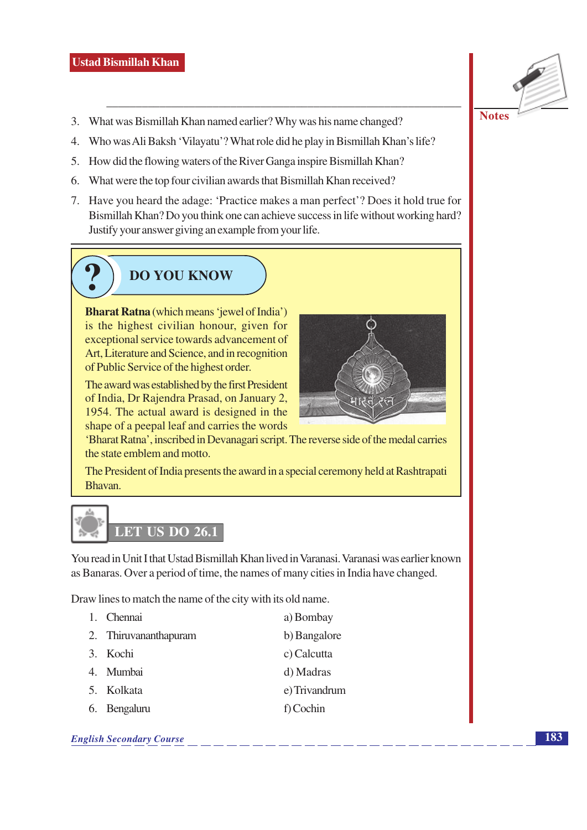- 3. What was Bismillah Khan named earlier? Why was his name changed?
- 4. Who was Ali Baksh 'Vilayatu'? What role did he play in Bismillah Khan's life?
- 5. How did the flowing waters of the River Ganga inspire Bismillah Khan?
- 6. What were the top four civilian awards that Bismillah Khan received?
- 7. Have you heard the adage: 'Practice makes a man perfect'? Does it hold true for Bismillah Khan? Do you think one can achieve success in life without working hard? Justify your answer giving an example from your life.

### **DO YOU KNOW**

**Bharat Ratna** (which means 'jewel of India') is the highest civilian honour, given for exceptional service towards advancement of Art, Literature and Science, and in recognition of Public Service of the highest order.

The award was established by the first President of India, Dr Rajendra Prasad, on January 2, 1954. The actual award is designed in the shape of a peepal leaf and carries the words



'Bharat Ratna', inscribed in Devanagari script. The reverse side of the medal carries the state emblem and motto.

The President of India presents the award in a special ceremony held at Rashtrapati Bhavan.



You read in Unit I that Ustad Bismillah Khan lived in Varanasi, Varanasi was earlier known as Banaras. Over a period of time, the names of many cities in India have changed.

Draw lines to match the name of the city with its old name.

1. Chennai a) Bombay 2. Thiruvananthapuram b) Bangalore 3. Kochi c) Calcutta 4. Mumbai d) Madras 5. Kolkata e) Trivandrum 6. Bengaluru f) Cochin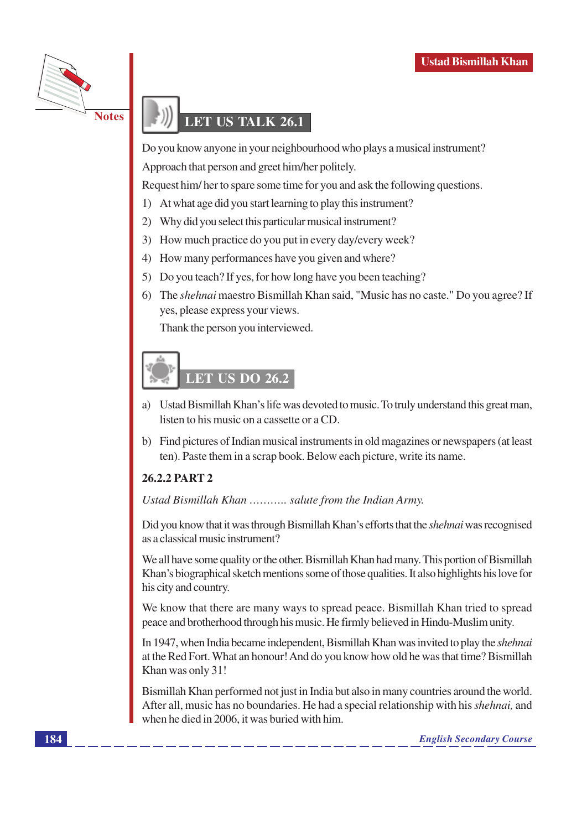

### **LET US TALK 26.1**

Do you know anyone in your neighbourhood who plays a musical instrument? Approach that person and greet him/her politely.

Request him/her to spare some time for you and ask the following questions.

- 1) At what age did you start learning to play this instrument?
- $(2)$ Why did you select this particular musical instrument?
- 3) How much practice do you put in every day/every week?
- 4) How many performances have you given and where?
- 5) Do you teach? If yes, for how long have you been teaching?
- 6) The shehnai maestro Bismillah Khan said, "Music has no caste." Do you agree? If yes, please express your views.

Thank the person you interviewed.

# **LET US DO 26.2**

- a) Ustad Bismillah Khan's life was devoted to music. To truly understand this great man, listen to his music on a cassette or a CD.
- b) Find pictures of Indian musical instruments in old magazines or newspapers (at least ten). Paste them in a scrap book. Below each picture, write its name.

### 26.2.2 PART 2

Ustad Bismillah Khan ........... salute from the Indian Army.

Did you know that it was through Bismillah Khan's efforts that the *shehnai* was recognised as a classical music instrument?

We all have some quality or the other. Bismillah Khan had many. This portion of Bismillah Khan's biographical sketch mentions some of those qualities. It also highlights his love for his city and country.

We know that there are many ways to spread peace. Bismillah Khan tried to spread peace and brotherhood through his music. He firmly believed in Hindu-Muslim unity.

In 1947, when India became independent, Bismillah Khan was invited to play the *shehnai* at the Red Fort. What an honour! And do you know how old he was that time? Bismillah Khan was only 31!

Bismillah Khan performed not just in India but also in many countries around the world. After all, music has no boundaries. He had a special relationship with his shehnai, and when he died in 2006, it was buried with him.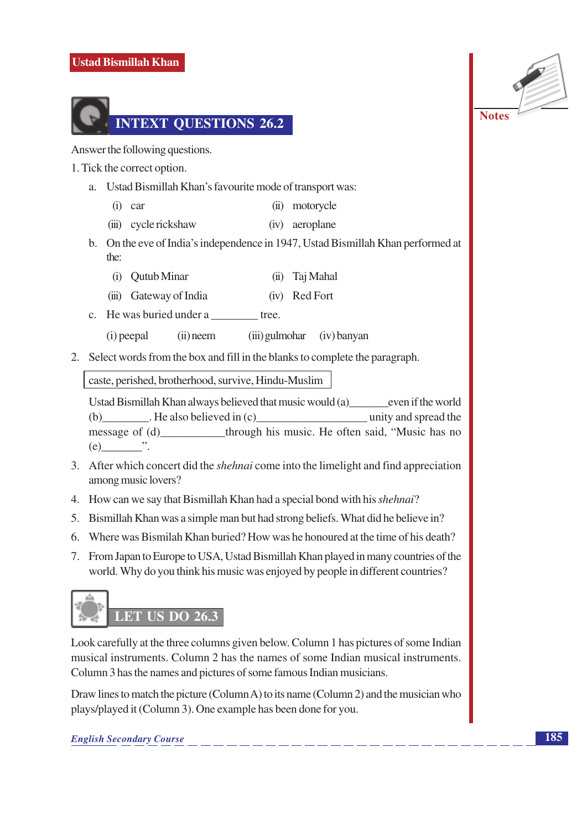### **Ustad Bismillah Khan**



Answer the following questions.

- 1. Tick the correct option.
	- a. Ustad Bismillah Khan's favourite mode of transport was:
		- $(i)$  car (ii) motorycle
		- (iii) cycle rickshaw (iv) aeroplane
	- b. On the eve of India's independence in 1947, Ustad Bismillah Khan performed at the:
		- (i) Outub Minar (ii) Tai Mahal
		- (iii) Gateway of India (iv) Red Fort
	- c. He was buried under a tree.
		- (i) peepal  $(ii)$  neem (iii) gulmohar  $(iv)$  banyan
- 2. Select words from the box and fill in the blanks to complete the paragraph.

caste, perished, brotherhood, survive, Hindu-Muslim

Ustad Bismillah Khan always believed that music would (a) even if the world (b)  $\qquad$  . He also believed in (c) unity and spread the message of (d) through his music. He often said, "Music has no  $(e)$  .

- 3. After which concert did the *shehnai* come into the limelight and find appreciation among music lovers?
- 4. How can we say that Bismillah Khan had a special bond with his *shehnai*?
- 5. Bismillah Khan was a simple man but had strong beliefs. What did he believe in?
- 6. Where was Bismilah Khan buried? How was he honoured at the time of his death?
- 7. From Japan to Europe to USA, Ustad Bismillah Khan played in many countries of the world. Why do you think his music was enjoyed by people in different countries?



Look carefully at the three columns given below. Column 1 has pictures of some Indian musical instruments. Column 2 has the names of some Indian musical instruments. Column 3 has the names and pictures of some famous Indian musicians.

Draw lines to match the picture (Column A) to its name (Column 2) and the musician who plays/played it (Column 3). One example has been done for you.

**English Secondary Course** 

**Notes**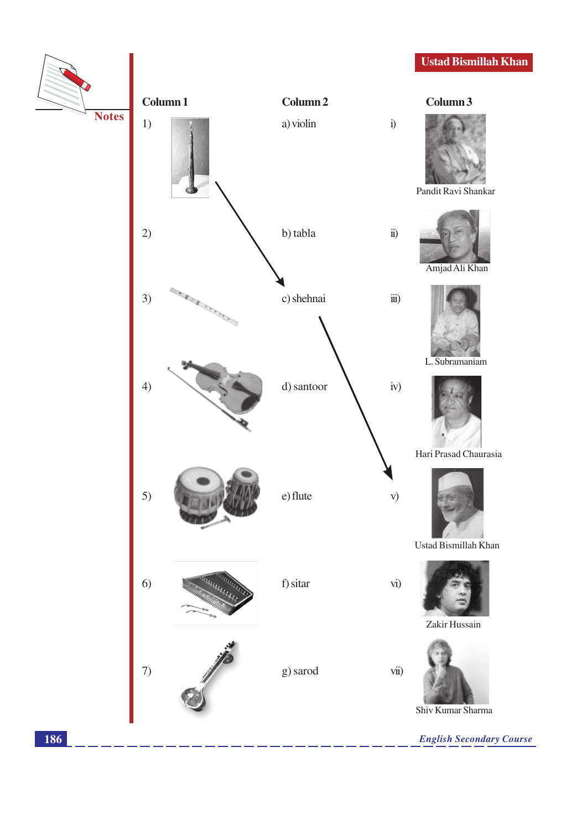### **Ustad Bismillah Khan**

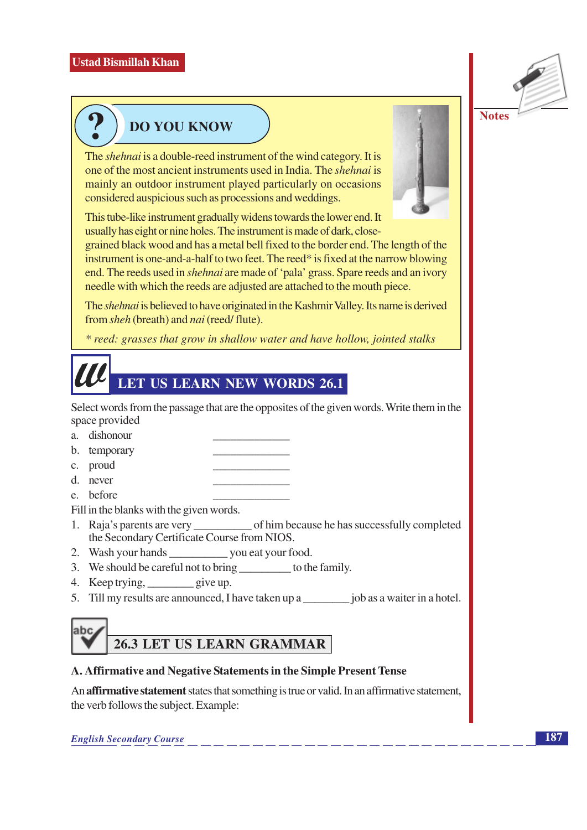

### **DO YOU KNOW**

The *shehnai* is a double-reed instrument of the wind category. It is one of the most ancient instruments used in India. The *shehnai* is mainly an outdoor instrument played particularly on occasions considered auspicious such as processions and weddings.

This tube-like instrument gradually widens towards the lower end. It usually has eight or nine holes. The instrument is made of dark, close-

grained black wood and has a metal bell fixed to the border end. The length of the instrument is one-and-a-half to two feet. The reed\* is fixed at the narrow blowing end. The reeds used in *shehnai* are made of 'pala' grass. Spare reeds and an ivory needle with which the reeds are adjusted are attached to the mouth piece.

The *shehnai* is believed to have originated in the Kashmir Valley. Its name is derived from sheh (breath) and nai (reed/flute).

\* reed: grasses that grow in shallow water and have hollow, jointed stalks

## LET US LEARN NEW WORDS 26.1

Select words from the passage that are the opposites of the given words. Write them in the space provided

- a. dishonour
- b. temporary
- c. proud
- d. never
- e. before

Fill in the blanks with the given words.

- 1. Raja's parents are very of him because he has successfully completed the Secondary Certificate Course from NIOS.
- 2. Wash your hands \_\_\_\_\_\_\_\_\_\_\_\_\_\_\_ you eat your food.
- 3. We should be careful not to bring to the family.
- 4. Keep trying, \_\_\_\_\_\_\_\_\_ give up.
- 5. Till my results are announced, I have taken up a job as a waiter in a hotel.

### **26.3 LET US LEARN GRAMMAR**

### A. Affirmative and Negative Statements in the Simple Present Tense

An affirmative statement states that something is true or valid. In an affirmative statement, the verb follows the subject. Example:

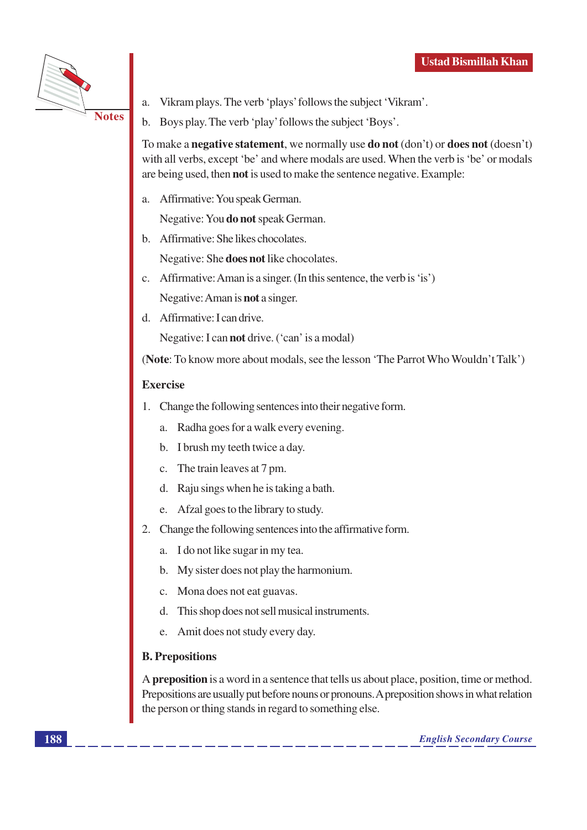

Vikram plays. The verb 'plays' follows the subject 'Vikram'. a.

b. Boys play. The verb 'play' follows the subject 'Boys'.

To make a **negative statement**, we normally use **do not** (don't) or **does not** (doesn't) with all verbs, except 'be' and where modals are used. When the verb is 'be' or modals are being used, then **not** is used to make the sentence negative. Example:

Affirmative: You speak German. a.

Negative: You **do not** speak German.

b. Affirmative: She likes chocolates.

Negative: She **does not** like chocolates.

- c. Affirmative: Aman is a singer. (In this sentence, the verb is 'is') Negative: Aman is **not** a singer.
- d. Affirmative: I can drive.

Negative: I can **not** drive. ('can' is a modal)

(Note: To know more about modals, see the lesson 'The Parrot Who Wouldn't Talk')

### **Exercise**

- $1.$ Change the following sentences into their negative form.
	- a. Radha goes for a walk every evening.
	- b. I brush my teeth twice a day.
	- c. The train leaves at 7 pm.
	- d. Raju sings when he is taking a bath.
	- e. Afzal goes to the library to study.
- 2. Change the following sentences into the affirmative form.
	- a. I do not like sugar in my tea.
	- b. My sister does not play the harmonium.
	- c. Mona does not eat guavas.
	- d. This shop does not sell musical instruments.
	- e. Amit does not study every day.

### **B.** Prepositions

A preposition is a word in a sentence that tells us about place, position, time or method. Prepositions are usually put before nouns or pronouns. A preposition shows in what relation the person or thing stands in regard to something else.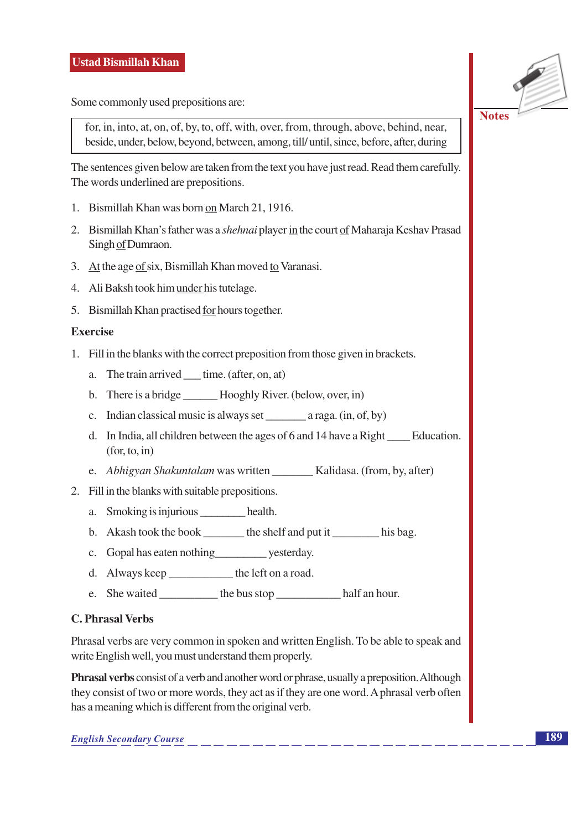Some commonly used prepositions are:

for, in, into, at, on, of, by, to, off, with, over, from, through, above, behind, near, beside, under, below, beyond, between, among, till/ until, since, before, after, during

The sentences given below are taken from the text you have just read. Read them carefully. The words underlined are prepositions.

- 1. Bismillah Khan was born on March 21, 1916.
- 2. Bismillah Khan's father was a shehnai player in the court of Maharaja Keshav Prasad Singh of Dumraon.
- 3. At the age of six, Bismillah Khan moved to Varanasi.
- 4. Ali Baksh took him under his tutelage.
- 5. Bismillah Khan practised for hours together.

### Exercise

- 1. Fill in the blanks with the correct preposition from those given in brackets.
	- a. The train arrived time. (after, on, at)
	- b. There is a bridge Hooghly River. (below, over, in)
	- c. Indian classical music is always set  $a \text{ raga.}$  (in, of, by)
	- d. In India, all children between the ages of 6 and 14 have a Right Education.  $(for, to, in)$
	- e. Abhigyan Shakuntalam was written Kalidasa. (from, by, after)
- 2. Fill in the blanks with suitable prepositions.
	- a. Smoking is injurious \_\_\_\_\_\_\_\_ health.
	- b. Akash took the book \_\_\_\_\_\_\_ the shelf and put it \_\_\_\_\_\_\_ his bag.
	- c. Gopal has eaten nothing \_\_\_\_\_\_\_\_\_\_\_ yesterday.
	- d. Always keep \_\_\_\_\_\_\_\_\_\_\_\_ the left on a road.
	- e. She waited the bus stop half an hour.

### **C. Phrasal Verbs**

Phrasal verbs are very common in spoken and written English. To be able to speak and write English well, you must understand them properly.

**Phrasal verbs** consist of a verb and another word or phrase, usually a preposition. Although they consist of two or more words, they act as if they are one word. A phrasal verb often has a meaning which is different from the original verb.

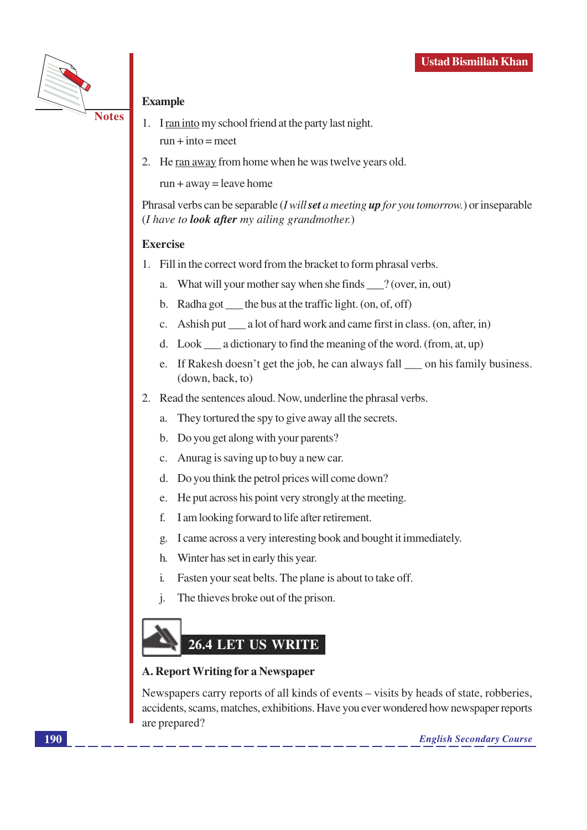

### **Example**

- 
- 1. I ran into my school friend at the party last night.  $run + into = meet$
- 2. He ran away from home when he was twelve years old.

 $run + away = leave home$ 

Phrasal verbs can be separable (*I will set a meeting up for you tomorrow*.) or inseparable (*I have to look after* my ailing grandmother.)

### **Exercise**

- 1. Fill in the correct word from the bracket to form phrasal verbs.
	- a. What will your mother say when she finds \_\_\_? (over, in, out)
	- b. Radha got the bus at the traffic light. (on, of, off)
	- c. Ashish put \_\_\_\_\_ a lot of hard work and came first in class. (on, after, in)
	- d. Look  $\_\_\$ a dictionary to find the meaning of the word. (from, at, up)
	- e. If Rakesh doesn't get the job, he can always fall on his family business. (down, back, to)
- 2. Read the sentences aloud. Now, underline the phrasal verbs.
	- They to rtured the spy to give away all the secrets.  $a<sub>z</sub>$
	- b. Do you get along with your parents?
	- c. Anurag is saving up to buy a new car.
	- d. Do you think the petrol prices will come down?
	- e. He put across his point very strongly at the meeting.
	- I am looking forward to life after retirement. f.
	- I came across a very interesting book and bought it immediately.  $\mathfrak{g}$ .
	- Winter has set in early this year. h.
	- Fasten your seat belts. The plane is about to take off.  $\mathbf{i}$ .
	- The thieves broke out of the prison.  $\mathbf{i}$ .

## 26.4 LET US WRITE

### A. Report Writing for a Newspaper

Newspapers carry reports of all kinds of events – visits by heads of state, robberies, accidents, scams, matches, exhibitions. Have you ever wondered how newspaper reports are prepared?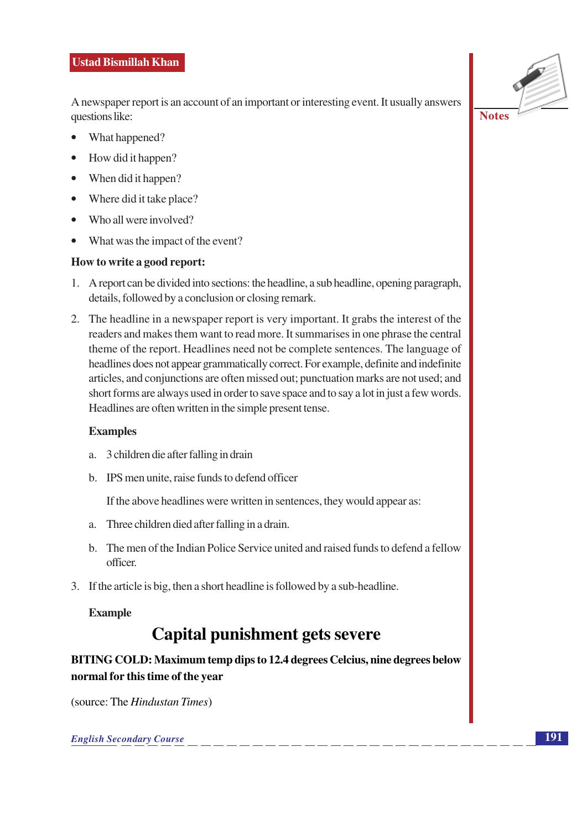A newspaper report is an account of an important or interesting event. It usually answers questions like:

- What happened?
- How did it happen?
- $\bullet$  When did it happen?
- Where did it take place?
- Who all were involved?
- What was the impact of the event?

### How to write a good report:

- 1. A report can be divided into sections: the headline, a sub headline, opening paragraph, details, followed by a conclusion or closing remark.
- 2. The headline in a newspaper report is very important. It grabs the interest of the readers and makes them want to read more. It summarises in one phrase the central theme of the report. Headlines need not be complete sentences. The language of headlines does not appear grammatically correct. For example, definite and indefinite articles, and conjunctions are often missed out; punctuation marks are not used; and short forms are always used in order to save space and to say a lot in just a few words. Headlines are often written in the simple present tense.

### **Examples**

- a. 3 children die after falling in drain
- b. IPS men unite, raise funds to defend officer

If the above headlines were written in sentences, they would appear as:

- a. Three children died after falling in a drain.
- b. The men of the Indian Police Service united and raised funds to defend a fellow officer
- 3. If the article is big, then a short headline is followed by a sub-headline.

### **Example**

### **Capital punishment gets severe**

BITING COLD: Maximum temp dips to 12.4 degrees Celcius, nine degrees below normal for this time of the vear

(source: The *Hindustan Times*)

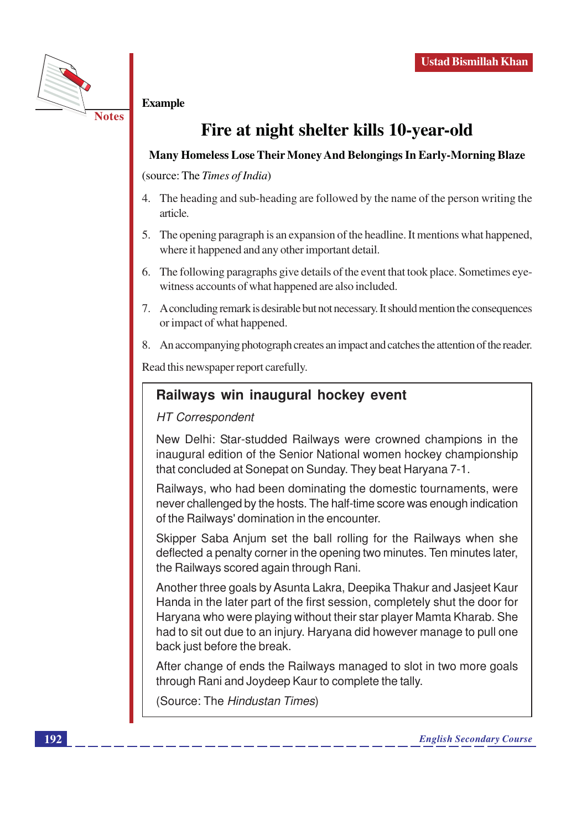

### **Example**

### Fire at night shelter kills 10-year-old

### Many Homeless Lose Their Money And Belongings In Early-Morning Blaze

(source: The Times of India)

- 4. The heading and sub-heading are followed by the name of the person writing the article.
- 5. The opening paragraph is an expansion of the headline. It mentions what happened, where it happened and any other important detail.
- 6. The following paragraphs give details of the event that took place. Sometimes eyewitness accounts of what happened are also included.
- 7. A concluding remark is desirable but not necessary. It should mention the consequences or impact of what happened.
- 8. An accompanying photograph creates an impact and catches the attention of the reader.

Read this newspaper report carefully.

### Railways win inaugural hockey event

### **HT Correspondent**

New Delhi: Star-studded Railways were crowned champions in the inaugural edition of the Senior National women hockey championship that concluded at Sonepat on Sunday. They beat Harvana 7-1.

Railways, who had been dominating the domestic tournaments, were never challenged by the hosts. The half-time score was enough indication of the Railways' domination in the encounter.

Skipper Saba Anjum set the ball rolling for the Railways when she deflected a penalty corner in the opening two minutes. Ten minutes later, the Railways scored again through Rani.

Another three goals by Asunta Lakra, Deepika Thakur and Jasjeet Kaur Handa in the later part of the first session, completely shut the door for Haryana who were playing without their star player Mamta Kharab. She had to sit out due to an injury. Haryana did however manage to pull one back just before the break.

After change of ends the Railways managed to slot in two more goals through Rani and Joydeep Kaur to complete the tally.

(Source: The Hindustan Times)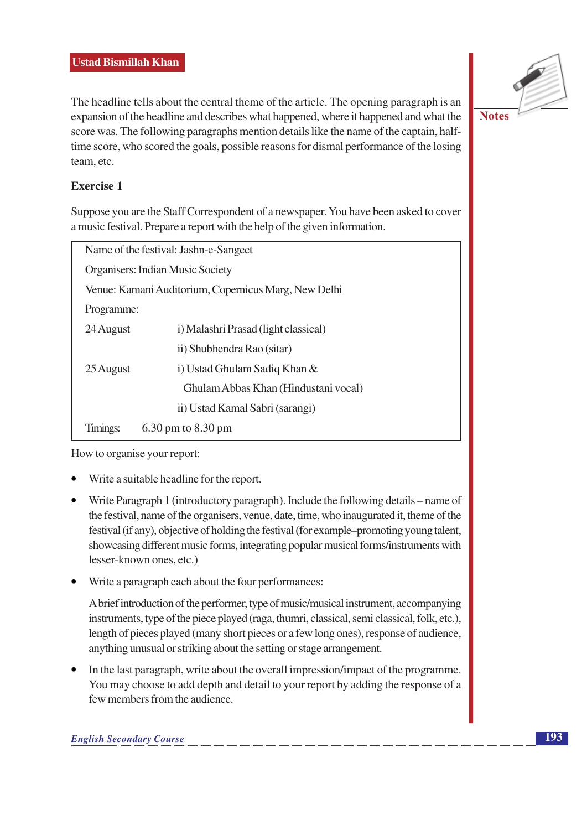### **Ustad Bismillah Khan**

The headline tells about the central theme of the article. The opening paragraph is an expansion of the headline and describes what happened, where it happened and what the score was. The following paragraphs mention details like the name of the captain, halftime score, who scored the goals, possible reasons for dismal performance of the losing team, etc.



### Exercise 1

Suppose you are the Staff Correspondent of a newspaper. You have been asked to cover a music festival. Prepare a report with the help of the given information.

| Name of the festival: Jashn-e-Sangeet                |                                      |  |  |  |
|------------------------------------------------------|--------------------------------------|--|--|--|
| Organisers: Indian Music Society                     |                                      |  |  |  |
| Venue: Kamani Auditorium, Copernicus Marg, New Delhi |                                      |  |  |  |
| Programme:                                           |                                      |  |  |  |
| 24 August                                            | i) Malashri Prasad (light classical) |  |  |  |
|                                                      | ii) Shubhendra Rao (sitar)           |  |  |  |
| 25 August                                            | i) Ustad Ghulam Sadiq Khan &         |  |  |  |
|                                                      | Ghulam Abbas Khan (Hindustani vocal) |  |  |  |
|                                                      | ii) Ustad Kamal Sabri (sarangi)      |  |  |  |
| Timings:                                             | 6.30 pm to 8.30 pm                   |  |  |  |

How to organise your report:

- Write a suitable headline for the report.
- Write Paragraph 1 (introductory paragraph). Include the following details name of the festival, name of the organisers, venue, date, time, who inaugurated it, theme of the festival (if any), objective of holding the festival (for example–promoting young talent, showcasing different music forms, integrating popular musical forms/instruments with lesser-known ones, etc.)
- Write a paragraph each about the four performances:

A brief introduction of the performer, type of music/musical instrument, accompanying instruments, type of the piece played (raga, thumri, classical, semi classical, folk, etc.), length of pieces played (many short pieces or a few long ones), response of audience, anything unusual or striking about the setting or stage arrangement.

In the last paragraph, write about the overall impression/impact of the programme. You may choose to add depth and detail to your report by adding the response of a few members from the audience.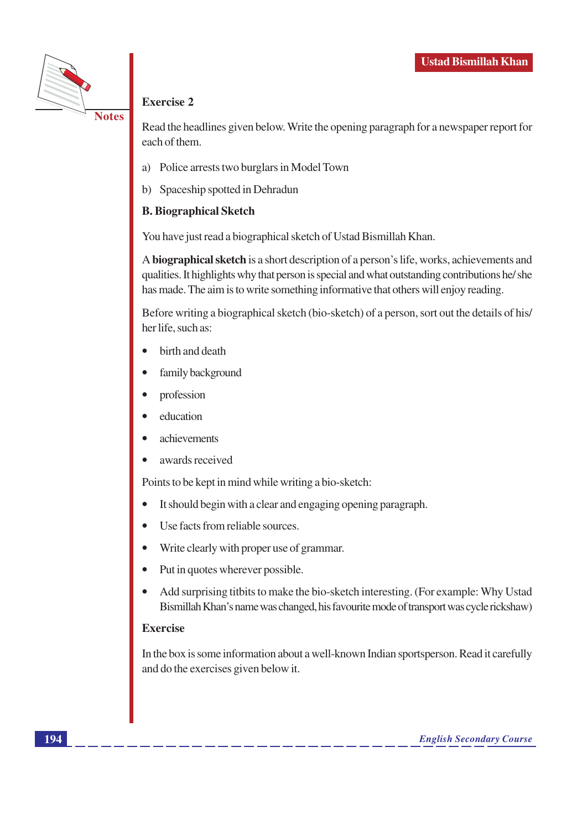

### **Exercise 2**

Read the headlines given below. Write the opening paragraph for a newspaper report for each of them.

- a) Police arrests two burglars in Model Town
- b) Spaceship spotted in Dehradun

### **B. Biographical Sketch**

You have just read a biographical sketch of Ustad Bismillah Khan.

A biographical sketch is a short description of a person's life, works, achievements and qualities. It highlights why that person is special and what outstanding contributions he/she has made. The aim is to write something informative that others will enjoy reading.

Before writing a biographical sketch (bio-sketch) of a person, sort out the details of his/ her life, such as:

- birth and death
- family background
- profession
- education
- achievements
- awards received

Points to be kept in mind while writing a bio-sketch:

- It should begin with a clear and engaging opening paragraph.
- Use facts from reliable sources.
- Write clearly with proper use of grammar.
- Put in quotes wherever possible.
- Add surprising titbits to make the bio-sketch interesting. (For example: Why Ustad  $\bullet$ Bismillah Khan's name was changed, his favourite mode of transport was cycle rickshaw)

### **Exercise**

In the box is some information about a well-known Indian sportsperson. Read it carefully and do the exercises given below it.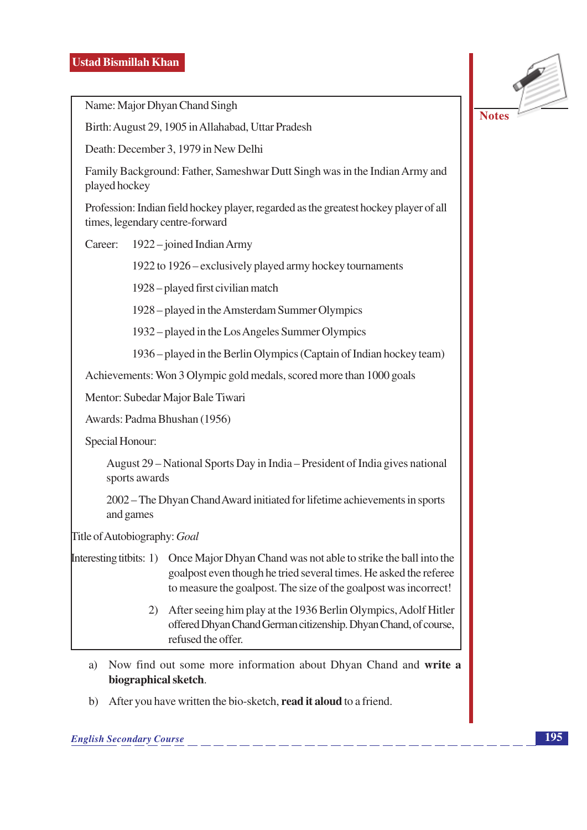**Notes** 

Name: Major Dhyan Chand Singh

Birth: August 29, 1905 in Allahabad, Uttar Pradesh

Death: December 3, 1979 in New Delhi

Family Background: Father, Sameshwar Dutt Singh was in the Indian Army and played hockey

Profession: Indian field hockey player, regarded as the greatest hockey player of all times, legendary centre-forward

Career: 1922 – joined Indian Army

1922 to 1926 – exclusively played army hockey tournaments

1928 – played first civilian match

1928 – played in the Amsterdam Summer Olympics

1932 – played in the Los Angeles Summer Olympics

1936 – played in the Berlin Olympics (Captain of Indian hockey team)

Achievements: Won 3 Olympic gold medals, scored more than 1000 goals

Mentor: Subedar Major Bale Tiwari

Awards: Padma Bhushan (1956)

Special Honour:

August 29 – National Sports Day in India – President of India gives national sports awards

2002 – The Dhyan Chand Award initiated for lifetime achievements in sports and games

Title of Autobiography: Goal

Interesting titbits: 1) Once Major Dhyan Chand was not able to strike the ball into the goalpost even though he tried several times. He asked the referee to measure the goalpost. The size of the goalpost was incorrect!

- 2) After seeing him play at the 1936 Berlin Olympics, Adolf Hitler offered Dhyan Chand German citizenship. Dhyan Chand, of course, refused the offer.
- a) Now find out some more information about Dhyan Chand and write a biographical sketch.
- b) After you have written the bio-sketch, read it aloud to a friend.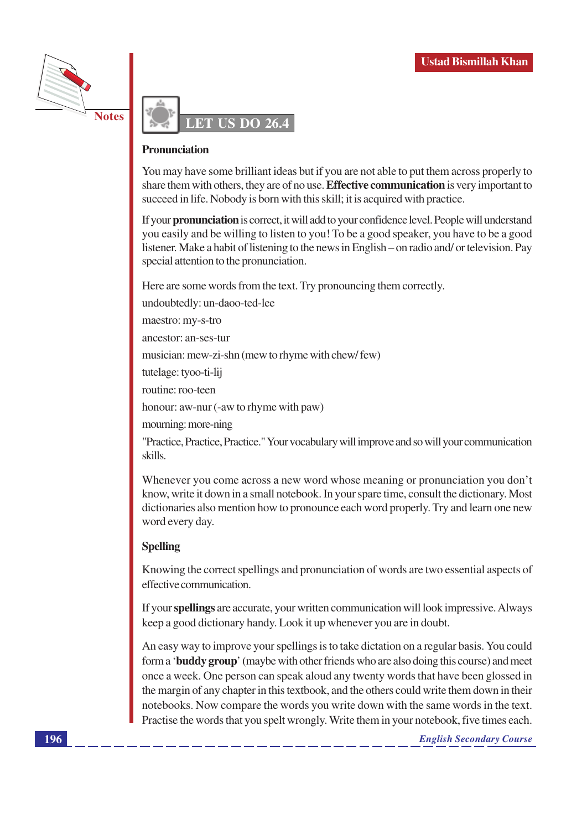



#### **Pronunciation**

You may have some brilliant ideas but if you are not able to put them across properly to share them with others, they are of no use. **Effective communication** is very important to succeed in life. Nobody is born with this skill; it is acquired with practice.

If your pronunciation is correct, it will add to your confidence level. People will understand you easily and be willing to listen to you! To be a good speaker, you have to be a good listener. Make a habit of listening to the news in English – on radio and/ or television. Pay special attention to the pronunciation.

Here are some words from the text. Try pronouncing them correctly.

undoubtedly: un-daoo-ted-lee

maestro: my-s-tro

ancestor: an-ses-tur

musician: mew-zi-shn (mew to rhyme with chew/few)

tutelage: tyoo-ti-lij

routine: roo-teen

honour: aw-nur (-aw to rhyme with paw)

mourning: more-ning

"Practice, Practice, Practice." Your vocabulary will improve and so will your communication skills.

Whenever you come across a new word whose meaning or pronunciation you don't know, write it down in a small notebook. In your spare time, consult the dictionary. Most dictionaries also mention how to pronounce each word properly. Try and learn one new word every day.

### **Spelling**

Knowing the correct spellings and pronunciation of words are two essential aspects of effective communication.

If your spellings are accurate, your written communication will look impressive. Always keep a good dictionary handy. Look it up whenever you are in doubt.

An easy way to improve your spellings is to take dictation on a regular basis. You could form a 'buddy group' (maybe with other friends who are also doing this course) and meet once a week. One person can speak aloud any twenty words that have been glossed in the margin of any chapter in this textbook, and the others could write them down in their notebooks. Now compare the words you write down with the same words in the text. Practise the words that you spelt wrongly. Write them in your notebook, five times each.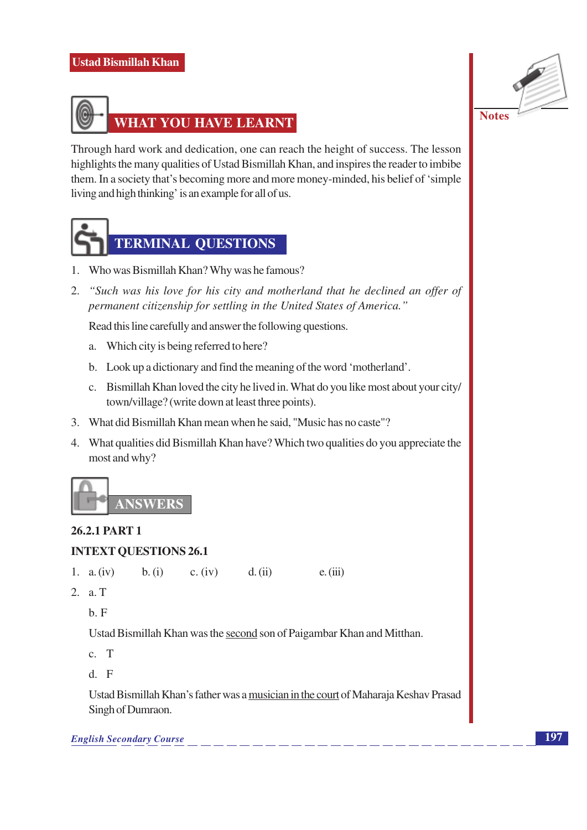### **Ustad Bismillah Khan**





Through hard work and dedication, one can reach the height of success. The lesson highlights the many qualities of Ustad Bismillah Khan, and inspires the reader to imbibe them. In a society that's becoming more and more money-minded, his belief of 'simple living and high thinking' is an example for all of us.



### **TERMINAL QUESTIONS**

- 1. Who was Bismillah Khan? Why was he famous?
- 2. "Such was his love for his city and motherland that he declined an offer of permanent citizenship for settling in the United States of America."

Read this line carefully and answer the following questions.

- a. Which city is being referred to here?
- b. Look up a dictionary and find the meaning of the word 'motherland'.
- c. Bismillah Khan loved the city he lived in. What do you like most about your city/ town/village? (write down at least three points).
- 3. What did Bismillah Khan mean when he said, "Music has no caste"?
- 4. What qualities did Bismillah Khan have? Which two qualities do you appreciate the most and why?



### 26.2.1 PART 1

### **INTEXT QUESTIONS 26.1**

1. a.  $(iv)$  $b. (i)$ c.  $(iv)$  $d. (ii)$  $e. (iii)$ 

2. a. T

 $h$  F

Ustad Bismillah Khan was the second son of Paigambar Khan and Mitthan.

- $c. T$
- $d. F$

Ustad Bismillah Khan's father was a musician in the court of Maharaja Keshav Prasad Singh of Dumraon.

**English Secondary Course**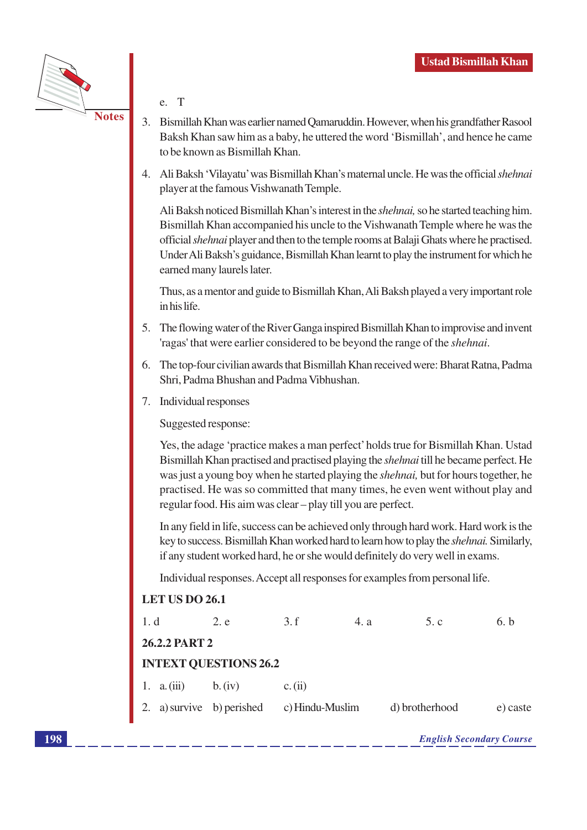

- $T$ e.
- 3. Bismillah Khan was earlier named Qamaruddin. However, when his grandfather Rasool Baksh Khan saw him as a baby, he uttered the word 'Bismillah', and hence he came to be known as Bismillah Khan.
- 4. Ali Baksh 'Vilavatu' was Bismillah Khan's maternal uncle. He was the official *shehnai* player at the famous Vishwanath Temple.

Ali Baksh noticed Bismillah Khan's interest in the *shehnai*, so he started teaching him. Bismillah Khan accompanied his uncle to the Vishwanath Temple where he was the official *shehnai* player and then to the temple rooms at Balaji Ghats where he practised. Under Ali Baksh's guidance, Bismillah Khan learnt to play the instrument for which he earned many laurels later.

Thus, as a mentor and guide to Bismillah Khan, Ali Baksh played a very important role in his life.

- 5. The flowing water of the River Ganga inspired Bismillah Khan to improvise and invent 'ragas' that were earlier considered to be beyond the range of the *shehnai*.
- 6. The top-four civilian awards that Bismillah Khan received were: Bharat Ratna, Padma Shri, Padma Bhushan and Padma Vibhushan.
- 7. Individual responses

Suggested response:

Yes, the adage 'practice makes a man perfect' holds true for Bismillah Khan. Ustad Bismillah Khan practised and practised playing the *shehnai* till he became perfect. He was just a young boy when he started playing the *shehnai*, but for hours together, he practised. He was so committed that many times, he even went without play and regular food. His aim was clear - play till you are perfect.

In any field in life, success can be achieved only through hard work. Hard work is the key to success. Bismillah Khan worked hard to learn how to play the *shehnai*. Similarly, if any student worked hard, he or she would definitely do very well in exams.

Individual responses. Accept all responses for examples from personal life.

### **LET US DO 26.1**

| 1. d                         |               | 2. e                      | 3.f             | 4. a | 5.c            | 6. b     |  |  |  |
|------------------------------|---------------|---------------------------|-----------------|------|----------------|----------|--|--|--|
|                              | 26.2.2 PART 2 |                           |                 |      |                |          |  |  |  |
| <b>INTEXT QUESTIONS 26.2</b> |               |                           |                 |      |                |          |  |  |  |
|                              | 1. a. $(iii)$ | b. (iv)                   | c. (ii)         |      |                |          |  |  |  |
|                              |               | 2. a) survive b) perished | c) Hindu-Muslim |      | d) brotherhood | e) caste |  |  |  |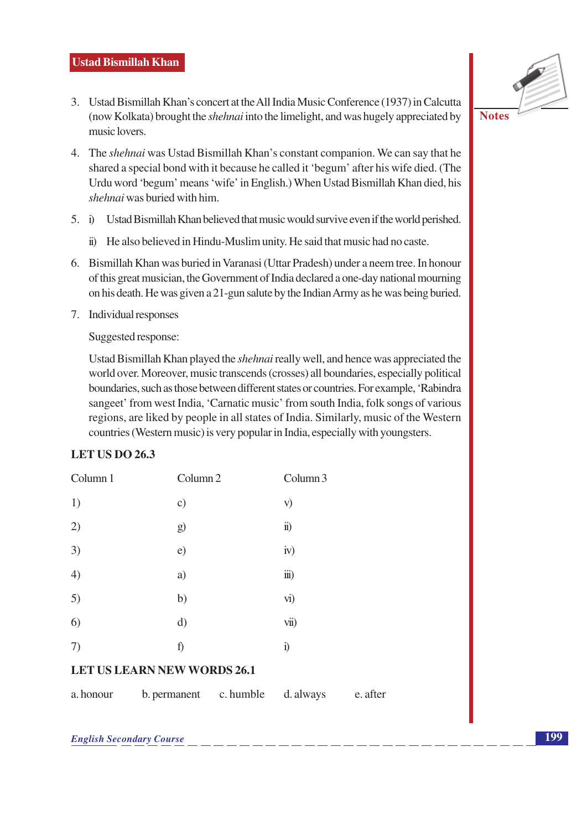- 3. Ustad Bismillah Khan's concert at the All India Music Conference (1937) in Calcutta (now Kolkata) brought the *shehnai* into the limelight, and was hugely appreciated by music lovers.
- 4. The *shehnai* was Ustad Bismillah Khan's constant companion. We can say that he shared a special bond with it because he called it 'begum' after his wife died. (The Urdu word 'begum' means 'wife' in English.) When Ustad Bismillah Khan died, his *shehnai* was buried with him.
- $5. i)$ Ustad Bismillah Khan believed that music would survive even if the world perished.
	- ii) He also believed in Hindu-Muslim unity. He said that music had no caste.
- 6. Bismillah Khan was buried in Varanasi (Uttar Pradesh) under a neem tree. In honour of this great musician, the Government of India declared a one-day national mourning on his death. He was given a 21-gun salute by the Indian Army as he was being buried.
- 7. Individual responses

Suggested response:

Ustad Bismillah Khan played the *shehnai* really well, and hence was appreciated the world over. Moreover, music transcends (crosses) all boundaries, especially political boundaries, such as those between different states or countries. For example, 'Rabindra sangeet' from west India, 'Carnatic music' from south India, folk songs of various regions, are liked by people in all states of India. Similarly, music of the Western countries (Western music) is very popular in India, especially with youngsters.

### **LET US DO 26.3**

| Column 1                                       | Column <sub>2</sub> | Column 3              |  |  |  |
|------------------------------------------------|---------------------|-----------------------|--|--|--|
| 1)                                             | $\circ$ )           | V)                    |  |  |  |
| 2)                                             | g)                  | $\ddot{\mathbf{n}})$  |  |  |  |
| 3)                                             | e)                  | iv)                   |  |  |  |
| $\left( 4\right)$                              | a)                  | $\dddot{\mathbf{m}})$ |  |  |  |
| 5)                                             | b)                  | vi)                   |  |  |  |
| 6)                                             | d)                  | vii)                  |  |  |  |
| 7)                                             | f)                  | $\ddot{1}$            |  |  |  |
| $\frac{1}{2}$<br>$\sim$ $\sim$ $\sim$<br>$  -$ |                     |                       |  |  |  |

### **LET US LEARN NEW WORDS 26.1**

a. honour b. permanent c. humble d. always e. after

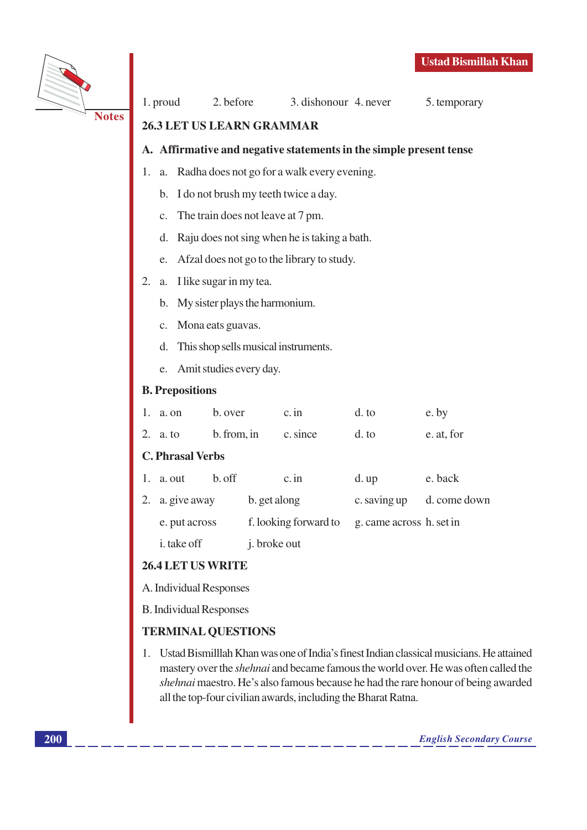

5. temporary

### **Notes**

### A. Affirmative and negative statements in the simple present tense

- $1.$ a. Radha does not go for a walk every evening.
	- b. I do not brush my teeth twice a day.
	- The train does not leave at 7 pm.  $C<sub>1</sub>$

26.3 LET US LEARN GRAMMAR

- d. Raju does not sing when he is taking a bath.
- e. Afzal does not go to the library to study.
- $2.$ a. I like sugar in my tea.
	- b. My sister plays the harmonium.
	- c. Mona eats guavas.
	- d. This shop sells musical instruments.
	- e. Amit studies every day.

### **B.** Prepositions

| 1.                      | a. on           | b. over     |                       | $c$ . in | d. to                    | e. by        |  |
|-------------------------|-----------------|-------------|-----------------------|----------|--------------------------|--------------|--|
|                         | 2. a. to        | b. from, in |                       | c. since | d. to                    | e. at, for   |  |
| <b>C. Phrasal Verbs</b> |                 |             |                       |          |                          |              |  |
| 1.                      | a. out          | b. off      |                       | $c$ . in | $d.$ up                  | e. back      |  |
|                         | 2. a. give away |             | b. get along          |          | c. saving up             | d. come down |  |
|                         | e. put across   |             | f. looking forward to |          | g. came across h. set in |              |  |
|                         |                 |             |                       |          |                          |              |  |

j. broke out

### 26.4 LET US WRITE

i. take off

- A. Individual Responses
- **B.** Individual Responses

### **TERMINAL QUESTIONS**

1. Ustad Bismilllah Khan was one of India's finest Indian classical musicians. He attained mastery over the *shehnai* and became famous the world over. He was often called the *shehnai* maestro. He's also famous because he had the rare honour of being awarded all the top-four civilian awards, including the Bharat Ratna.